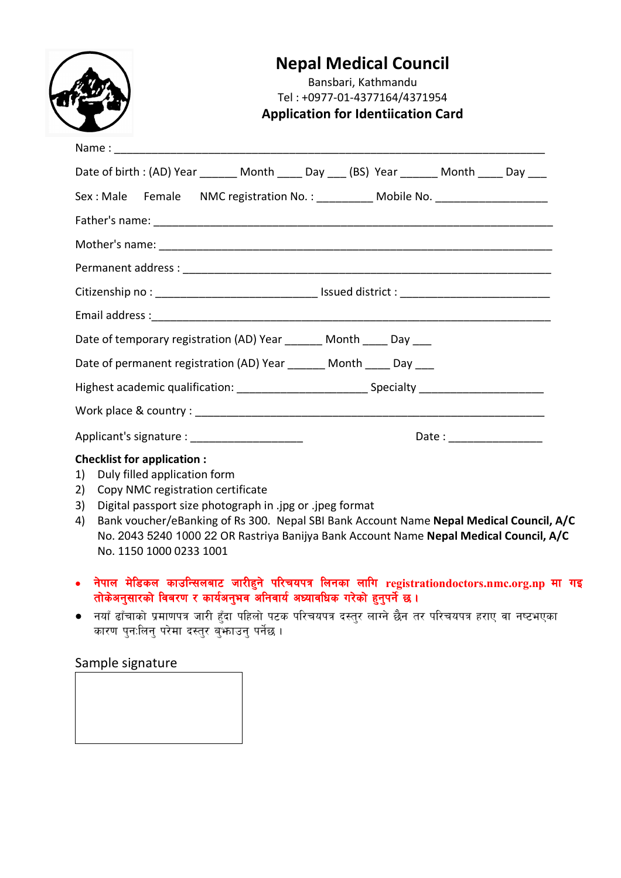|                                                                                  | <b>Nepal Medical Council</b><br>Bansbari, Kathmandu<br>Tel: +0977-01-4377164/4371954<br><b>Application for Identiication Card</b>                                  |                      |
|----------------------------------------------------------------------------------|--------------------------------------------------------------------------------------------------------------------------------------------------------------------|----------------------|
|                                                                                  |                                                                                                                                                                    |                      |
|                                                                                  | Date of birth : (AD) Year _______ Month _____ Day ____ (BS) Year _______ Month _____ Day ___                                                                       |                      |
| Sex: Male Female NMC registration No.: __________ Mobile No. ___________________ |                                                                                                                                                                    |                      |
|                                                                                  |                                                                                                                                                                    |                      |
|                                                                                  |                                                                                                                                                                    |                      |
|                                                                                  |                                                                                                                                                                    |                      |
|                                                                                  |                                                                                                                                                                    |                      |
|                                                                                  |                                                                                                                                                                    |                      |
|                                                                                  | Date of temporary registration (AD) Year ______ Month ____ Day ___                                                                                                 |                      |
|                                                                                  | Date of permanent registration (AD) Year _______ Month _____ Day ____                                                                                              |                      |
|                                                                                  | Highest academic qualification: _______________________________Specialty __________________________                                                                |                      |
|                                                                                  |                                                                                                                                                                    |                      |
| Applicant's signature : _____________________                                    |                                                                                                                                                                    | Date : $\frac{1}{2}$ |
| 1)<br>2)<br>3)                                                                   | <b>Checklist for application:</b><br>Duly filled application form<br>Copy NMC registration certificate<br>Digital passport size photograph in .jpg or .jpeg format |                      |

- 4) Bank voucher/eBanking of Rs 300. Nepal SBI Bank Account Name **Nepal Medical Council, A/C** No. 2043 5240 1000 22 OR Rastriya Banijya Bank Account Name **Nepal Medical Council, A/C**  No. 1150 1000 0233 1001
- नेपाल मेडिकल काउन्सिलबाट जारीहुने परिचयपत्र लिनका लागि registrationdoctors.nmc.org.np मा गइ तोकेअनुसारको विबरण र कार्यअनुभव अनिवार्य अध्यावधिक गरेको हुनुपर्ने छ ।
- नयाँ ढाँचाको प्रमाणपत्र जारी हुँदा पहिलो पटक परिचयपत्र दस्तुर लाग्ने छैन तर परिचयपत्र हराए वा नष्टभएका कारण पुन:लिनु परेमा दस्तुर बुँफाउनु पर्नेछ ।

## Sample signature